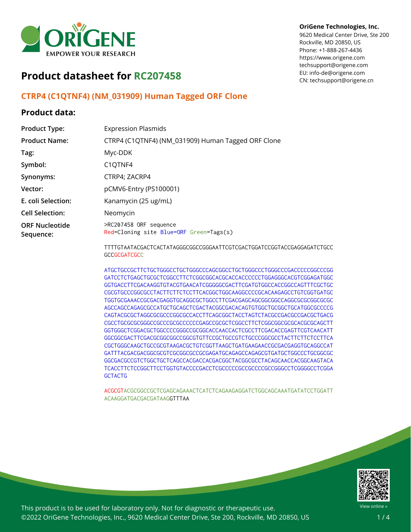

#### **OriGene Technologies, Inc.**

9620 Medical Center Drive, Ste 200 Rockville, MD 20850, US Phone: +1-888-267-4436 https://www.origene.com techsupport@origene.com EU: info-de@origene.com CN: techsupport@origene.cn

# **Product datasheet for RC207458**

## **CTRP4 (C1QTNF4) (NM\_031909) Human Tagged ORF Clone**

### **Product data:**

| <b>Product Type:</b>               | <b>Expression Plasmids</b>                                        |
|------------------------------------|-------------------------------------------------------------------|
| <b>Product Name:</b>               | CTRP4 (C1QTNF4) (NM_031909) Human Tagged ORF Clone                |
| Tag:                               | Myc-DDK                                                           |
| Symbol:                            | C <sub>1</sub> Q <sub>TNF4</sub>                                  |
| Synonyms:                          | CTRP4; ZACRP4                                                     |
| Vector:                            | pCMV6-Entry (PS100001)                                            |
| E. coli Selection:                 | Kanamycin (25 ug/mL)                                              |
| <b>Cell Selection:</b>             | Neomycin                                                          |
| <b>ORF Nucleotide</b><br>Sequence: | >RC207458 ORF sequence<br>Red=Cloning site Blue=ORF Green=Tags(s) |
|                                    | TTTTCTAATACGACTCACTATAGGGCGGCCGGAATTCGTCGACTGGATCCGGTACCGA        |

TTTTGTAATACGACTCACTATAGGGCGGCCGGGAATTCGTCGACTGGATCCGGTACCGAGGAGATCTGCC **GCCGCGATCGCC** 

ATGCTGCCGCTTCTGCTGGGCCTGCTGGGCCCAGCGGCCTGCTGGGCCCTGGGCCCGACCCCCGGCCCGG GATCCTCTGAGCTGCGCTCGGCCTTCTCGGCGGCACGCACCACCCCCCTGGAGGGCACGTCGGAGATGGC GGTGACCTTCGACAAGGTGTACGTGAACATCGGGGGCGACTTCGATGTGGCCACCGGCCAGTTTCGCTGC CGCGTGCCCGGCGCCTACTTCTTCTCCTTCACGGCTGGCAAGGCCCCGCACAAGAGCCTGTCGGTGATGC TGGTGCGAAACCGCGACGAGGTGCAGGCGCTGGCCTTCGACGAGCAGCGGCGGCCAGGCGCGCGGCGCGC AGCCAGCCAGAGCGCCATGCTGCAGCTCGACTACGGCGACACAGTGTGGCTGCGGCTGCATGGCGCCCCG CAGTACGCGCTAGGCGCGCCCGGCGCCACCTTCAGCGGCTACCTAGTCTACGCCGACGCCGACGCTGACG CGCCTGCGCGCGGGCCGCCCGCGCCCCCCGAGCCGCGCTCGGCCTTCTCGGCGGCGCGCACGCGCAGCTT GGTGGGCTCGGACGCTGGCCCCGGGCCGCGGCACCAACCACTCGCCTTCGACACCGAGTTCGTCAACATT GGCGGCGACTTCGACGCGGCGGCCGGCGTGTTCCGCTGCCGTCTGCCCGGCGCCTACTTCTTCTCCTTCA CGCTGGGCAAGCTGCCGCGTAAGACGCTGTCGGTTAAGCTGATGAAGAACCGCGACGAGGTGCAGGCCAT GATTTACGACGACGGCGCGTCGCGGCGCCGCGAGATGCAGAGCCAGAGCGTGATGCTGGCCCTGCGGCGC GGCGACGCCGTCTGGCTGCTCAGCCACGACCACGACGGCTACGGCGCCTACAGCAACCACGGCAAGTACA TCACCTTCTCCGGCTTCCTGGTGTACCCCGACCTCGCCCCCGCCGCCCCGCCGGGCCTCGGGGCCTCGGA **GCTACTG** 

ACGCGTACGCGGCCGCTCGAGCAGAAACTCATCTCAGAAGAGGATCTGGCAGCAAATGATATCCTGGATT ACAAGGATGACGACGATAAGGTTTAA



This product is to be used for laboratory only. Not for diagnostic or therapeutic use. ©2022 OriGene Technologies, Inc., 9620 Medical Center Drive, Ste 200, Rockville, MD 20850, US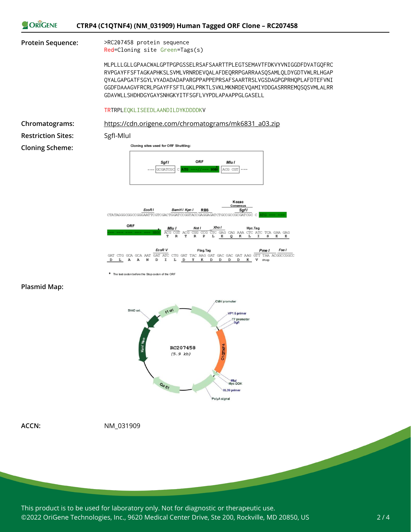



\* The last codon before the Stop codon of the ORF

#### **Plasmid Map:**



**ACCN:** NM\_031909

This product is to be used for laboratory only. Not for diagnostic or therapeutic use. ©2022 OriGene Technologies, Inc., 9620 Medical Center Drive, Ste 200, Rockville, MD 20850, US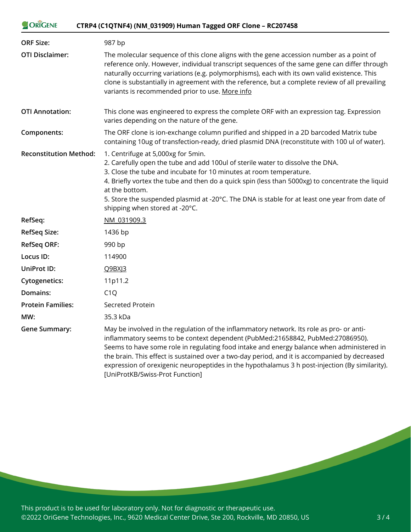#### ORIGENE **CTRP4 (C1QTNF4) (NM\_031909) Human Tagged ORF Clone – RC207458**

| <b>ORF Size:</b>              | 987 bp                                                                                                                                                                                                                                                                                                                                                                                                                                                                                                        |
|-------------------------------|---------------------------------------------------------------------------------------------------------------------------------------------------------------------------------------------------------------------------------------------------------------------------------------------------------------------------------------------------------------------------------------------------------------------------------------------------------------------------------------------------------------|
| <b>OTI Disclaimer:</b>        | The molecular sequence of this clone aligns with the gene accession number as a point of<br>reference only. However, individual transcript sequences of the same gene can differ through<br>naturally occurring variations (e.g. polymorphisms), each with its own valid existence. This<br>clone is substantially in agreement with the reference, but a complete review of all prevailing<br>variants is recommended prior to use. More info                                                                |
| <b>OTI Annotation:</b>        | This clone was engineered to express the complete ORF with an expression tag. Expression<br>varies depending on the nature of the gene.                                                                                                                                                                                                                                                                                                                                                                       |
| Components:                   | The ORF clone is ion-exchange column purified and shipped in a 2D barcoded Matrix tube<br>containing 10ug of transfection-ready, dried plasmid DNA (reconstitute with 100 ul of water).                                                                                                                                                                                                                                                                                                                       |
| <b>Reconstitution Method:</b> | 1. Centrifuge at 5,000xg for 5min.<br>2. Carefully open the tube and add 100ul of sterile water to dissolve the DNA.<br>3. Close the tube and incubate for 10 minutes at room temperature.<br>4. Briefly vortex the tube and then do a quick spin (less than 5000xg) to concentrate the liquid<br>at the bottom.<br>5. Store the suspended plasmid at -20°C. The DNA is stable for at least one year from date of<br>shipping when stored at -20°C.                                                           |
| RefSeq:                       | NM 031909.3                                                                                                                                                                                                                                                                                                                                                                                                                                                                                                   |
| RefSeq Size:                  | 1436 bp                                                                                                                                                                                                                                                                                                                                                                                                                                                                                                       |
| <b>RefSeq ORF:</b>            | 990 bp                                                                                                                                                                                                                                                                                                                                                                                                                                                                                                        |
| Locus ID:                     | 114900                                                                                                                                                                                                                                                                                                                                                                                                                                                                                                        |
| UniProt ID:                   | Q9BXJ3                                                                                                                                                                                                                                                                                                                                                                                                                                                                                                        |
| <b>Cytogenetics:</b>          | 11p11.2                                                                                                                                                                                                                                                                                                                                                                                                                                                                                                       |
| Domains:                      | C1Q                                                                                                                                                                                                                                                                                                                                                                                                                                                                                                           |
| <b>Protein Families:</b>      | <b>Secreted Protein</b>                                                                                                                                                                                                                                                                                                                                                                                                                                                                                       |
| MW:                           | 35.3 kDa                                                                                                                                                                                                                                                                                                                                                                                                                                                                                                      |
| <b>Gene Summary:</b>          | May be involved in the regulation of the inflammatory network. Its role as pro- or anti-<br>inflammatory seems to be context dependent (PubMed:21658842, PubMed:27086950).<br>Seems to have some role in regulating food intake and energy balance when administered in<br>the brain. This effect is sustained over a two-day period, and it is accompanied by decreased<br>expression of orexigenic neuropeptides in the hypothalamus 3 h post-injection (By similarity).<br>[UniProtKB/Swiss-Prot Function] |

This product is to be used for laboratory only. Not for diagnostic or therapeutic use. ©2022 OriGene Technologies, Inc., 9620 Medical Center Drive, Ste 200, Rockville, MD 20850, US